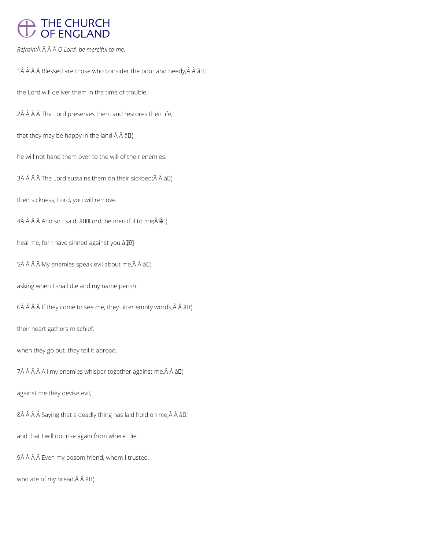# THE CHURCH<br>OF ENGLAND

*Refrain: O Lord, be merciful to me.*

1 $\hat{A}$   $\hat{A}$   $\hat{A}$   $\hat{B}$  Blessed are those who consider the poor and needy; $\hat{A}$   $\hat{A}$   $\hat{B}$  $I$ 

the Lord will deliver them in the time of trouble.

2Â Â Â Â The Lord preserves them and restores their life,

that they may be happy in the land; $\hat{A}$   $\hat{A}$   $\hat{a}$  $\Gamma$ <sup>1</sup>

he will not hand them over to the will of their enemies.

3Â Â Â Â The Lord sustains them on their sickbed; $\hat{A}$  Â â $\Pi$ 

their sickness, Lord, you will remove.

4Â Â Â Â And so I said, â IILord, be merciful to me; $\hat{A}$   $\hat{A}$ l]

heal me, for I have sinned against you.â [*R*]

 $5\hat{A}$   $\hat{A}$   $\hat{A}$   $\hat{A}$   $My$  enemies speak evil about me, $\hat{A}$   $\hat{A}$   $\hat{a}$   $\Box$ 

asking when I shall die and my name perish.

 $6\hat{A}$   $\hat{A}$   $\hat{A}$  if they come to see me, they utter empty words; $\hat{A}$   $\hat{A}$   $\hat{a}$  $\Box$ 

their heart gathers mischief;

when they go out, they tell it abroad.

 $7\hat{A}$   $\hat{A}$   $\hat{A}$   $\hat{A}$  All my enemies whisper together against me,  $\hat{A}$   $\hat{A}$   $\hat{a}$   $\Box$ 

against me they devise evil,

 $8\hat{A}$   $\hat{A}$   $\hat{A}$  Saying that a deadly thing has laid hold on me, $\hat{A}$   $\hat{A}$   $\hat{a}$   $\Box$ 

and that I will not rise again from where I lie.

9Â Â Â Â Even my bosom friend, whom I trusted,

who ate of my bread, Â Â â []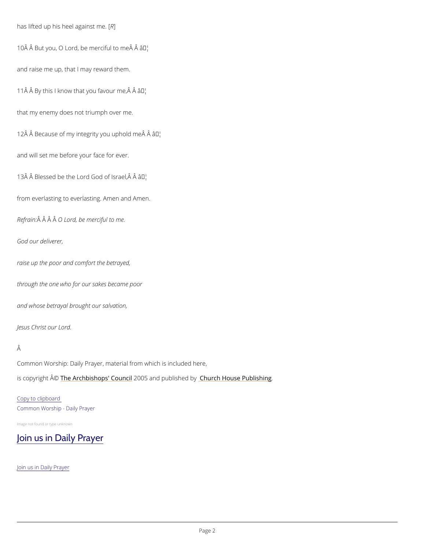has lifted up his heel  $R$ against me.

10 Å Å But you, O Lord, be mæ Mciful to me Å Å

and raise me up, that I may reward them.

 $11 \,\hat{A}$   $\hat{A}$  By this I know that yo au<sup>m</sup> flavour me,  $\hat{A}$   $\hat{A}$ 

that my enemy does not triumph over me.

12 $\hat{A}$   $\hat{A}$  Because of my integrity  $\hat{A}$   $\delta$ <sup>Mu'</sup> uphold me $\hat{A}$   $\hat{A}$ 

and will set me before your face for ever.

13 $\hat{A}$   $\hat{A}$  Blessed be the Lord  $\hat{A}$  of Israel,  $\hat{A}$   $\hat{A}$ 

Common Worship: Daily Prayer, material from which is included here, is copyrighth  $\hat{\mathbb{A}}$  @Archbishops' 2000 u5 n and publish hend roby House Publishing

from everlasting to everlasting. Amen and Amen.

Refra $\hat{A}$ in $\hat{A}$   $\hat{A}$ O  $\hat{A}$ Lord, be merciful to me.

God our deliverer,

raise up the poor and comfort the betrayed,

through the one who for our sakes became poor

and whose betrayal brought our salvation,

Jesus Christ our Lord.

#### Â

#### Copy to clipboard

Common Worship - Daily Prayer

Image not found or type unknown

### [Join us in Daily Prayer](https://www.churchofengland.org/prayer-and-worship/join-us-in-daily-prayer)

Join us in Daily Prayer